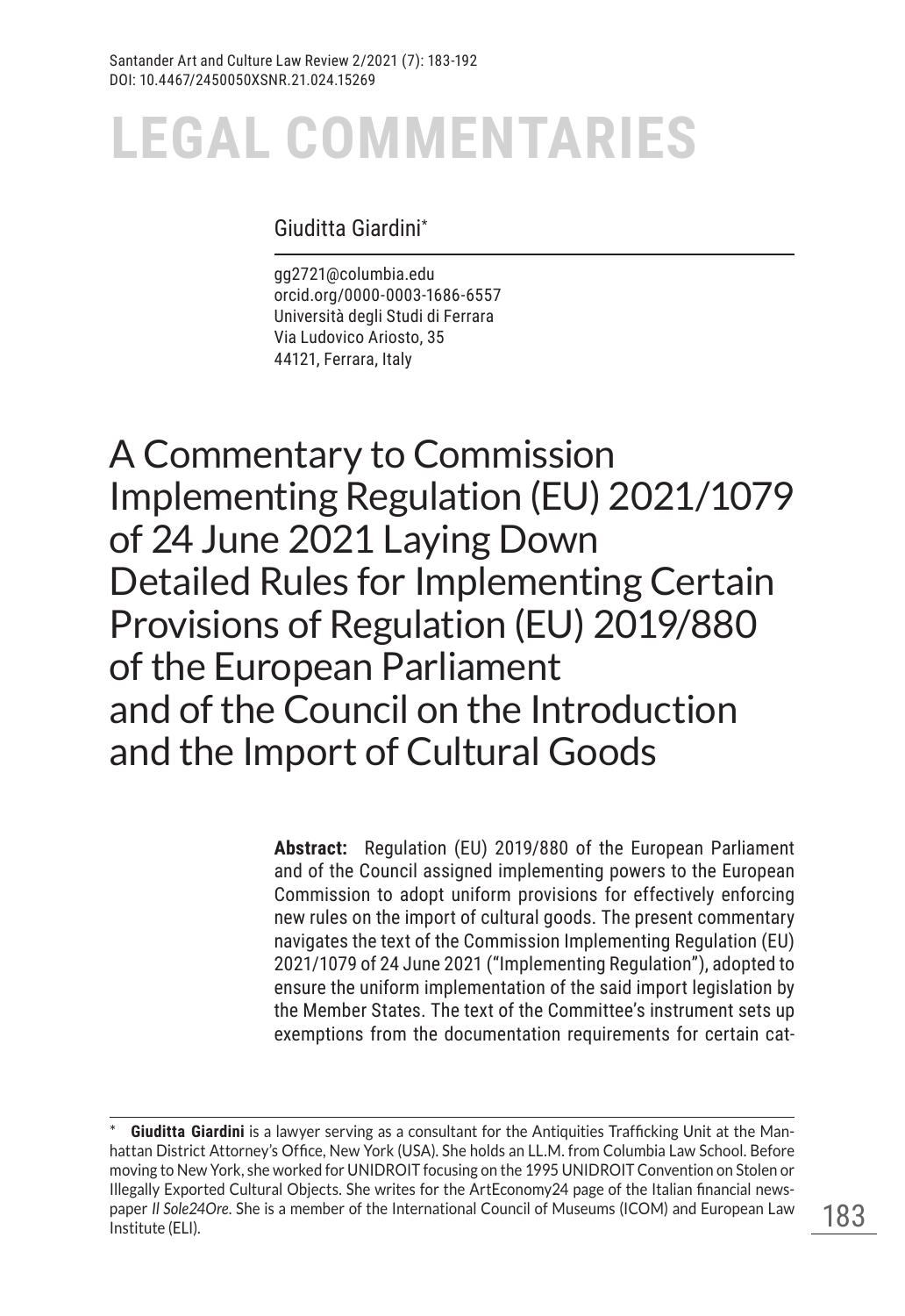# Giuditta Giardini\*

gg2721@columbia.edu orcid.org/0000-0003-1686-6557 Università degli Studi di Ferrara Via Ludovico Ariosto, 35 44121, Ferrara, Italy

A Commentary to Commission Implementing Regulation (EU) 2021/1079 of 24 June 2021 Laying Down Detailed Rules for Implementing Certain Provisions of Regulation (EU) 2019/880 of the European Parliament and of the Council on the Introduction and the Import of Cultural Goods

> **Abstract:** Regulation (EU) 2019/880 of the European Parliament and of the Council assigned implementing powers to the European Commission to adopt uniform provisions for effectively enforcing new rules on the import of cultural goods. The present commentary navigates the text of the Commission Implementing Regulation (EU) 2021/1079 of 24 June 2021 ("Implementing Regulation"), adopted to ensure the uniform implementation of the said import legislation by the Member States. The text of the Committee's instrument sets up exemptions from the documentation requirements for certain cat-

**Giuditta Giardini** is a lawyer serving as a consultant for the Antiquities Trafficking Unit at the Manhattan District Attorney's Office, New York (USA). She holds an LL.M. from Columbia Law School. Before moving to New York, she worked for UNIDROIT focusing on the 1995 UNIDROIT Convention on Stolen or Illegally Exported Cultural Objects. She writes for the ArtEconomy24 page of the Italian financial newspaper *Il Sole24Ore*. She is a member of the International Council of Museums (ICOM) and European Law Institute (ELI).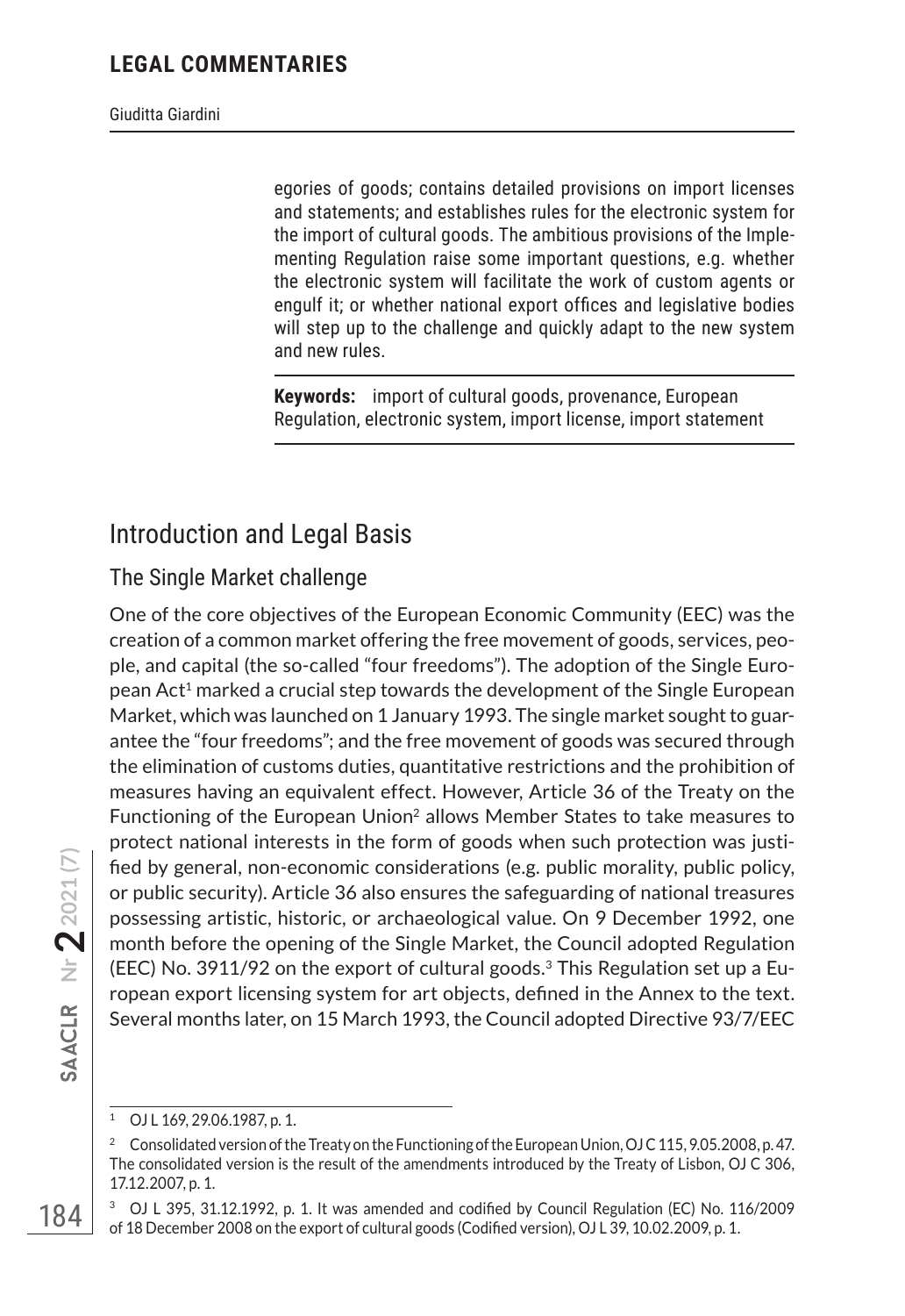egories of goods; contains detailed provisions on import licenses and statements; and establishes rules for the electronic system for the import of cultural goods. The ambitious provisions of the Implementing Regulation raise some important questions, e.g. whether the electronic system will facilitate the work of custom agents or engulf it; or whether national export offices and legislative bodies will step up to the challenge and quickly adapt to the new system and new rules.

**Keywords:** import of cultural goods, provenance, European Regulation, electronic system, import license, import statement

# Introduction and Legal Basis

#### The Single Market challenge

One of the core objectives of the European Economic Community (EEC) was the creation of a common market offering the free movement of goods, services, people, and capital (the so-called "four freedoms"). The adoption of the Single European  $Act<sup>1</sup>$  marked a crucial step towards the development of the Single European Market, which was launched on 1 January 1993. The single market sought to guarantee the "four freedoms"; and the free movement of goods was secured through the elimination of customs duties, quantitative restrictions and the prohibition of measures having an equivalent effect. However, Article 36 of the Treaty on the Functioning of the European Union<sup>2</sup> allows Member States to take measures to protect national interests in the form of goods when such protection was justified by general, non-economic considerations (e.g. public morality, public policy, or public security). Article 36 also ensures the safeguarding of national treasures possessing artistic, historic, or archaeological value. On 9 December 1992, one month before the opening of the Single Market, the Council adopted Regulation (EEC) No. 3911/92 on the export of cultural goods.3 This Regulation set up a European export licensing system for art objects, defined in the Annex to the text. Several months later, on 15 March 1993, the Council adopted Directive 93/7/EEC

<sup>1</sup> OJ L 169, 29.06.1987, p. 1.

<sup>&</sup>lt;sup>2</sup> Consolidated version of the Treaty on the Functioning of the European Union, OJ C 115, 9.05.2008, p. 47. The consolidated version is the result of the amendments introduced by the Treaty of Lisbon, OJ C 306, 17.12.2007, p. 1.

<sup>3</sup> OJ L 395, 31.12.1992, p. 1. It was amended and codified by Council Regulation (EC) No. 116/2009 of 18 December 2008 on the export of cultural goods (Codified version), OJ L 39, 10.02.2009, p. 1.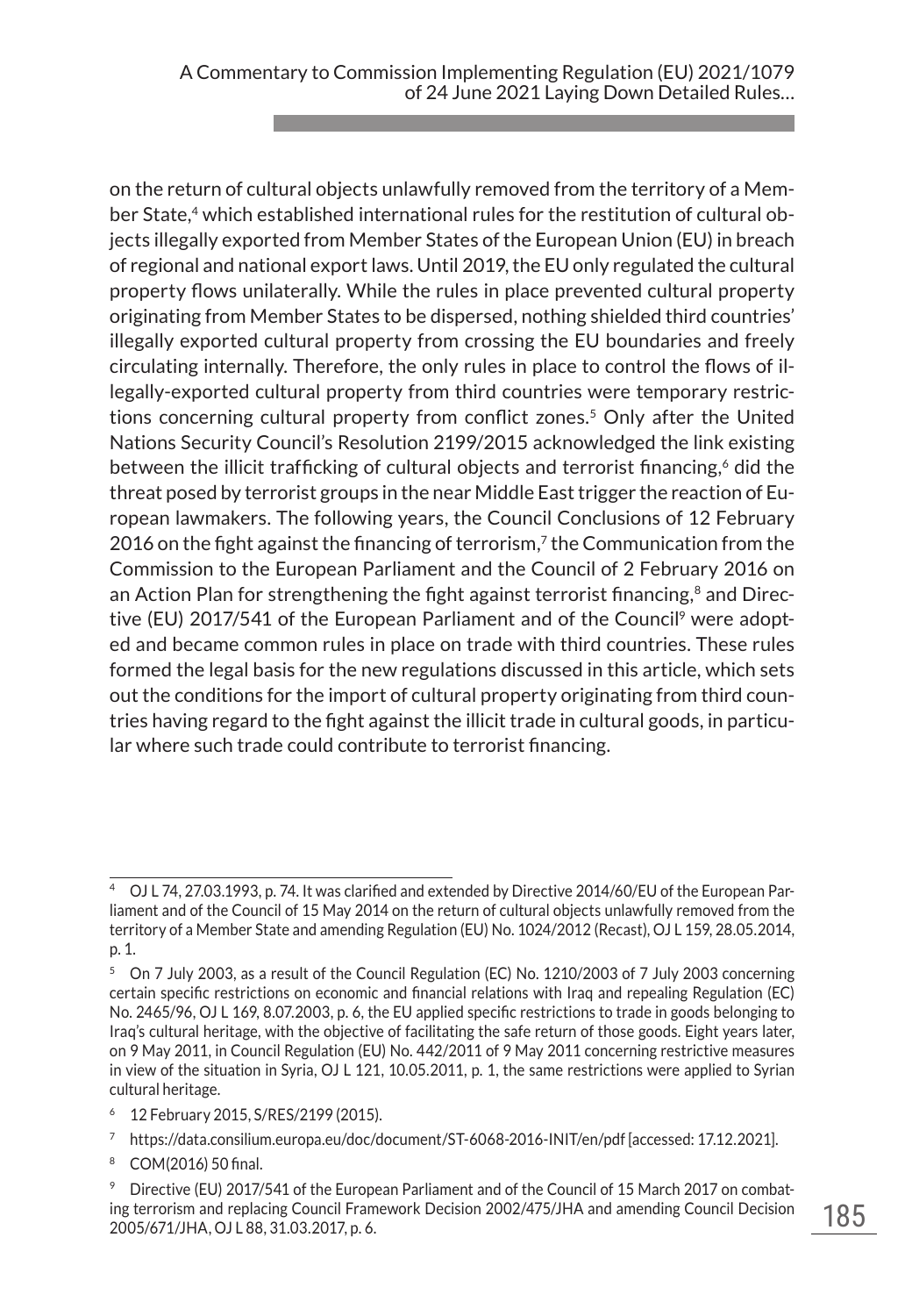on the return of cultural objects unlawfully removed from the territory of a Member State,<sup>4</sup> which established international rules for the restitution of cultural objects illegally exported from Member States of the European Union (EU) in breach of regional and national export laws. Until 2019, the EU only regulated the cultural property flows unilaterally. While the rules in place prevented cultural property originating from Member States to be dispersed, nothing shielded third countries' illegally exported cultural property from crossing the EU boundaries and freely circulating internally. Therefore, the only rules in place to control the flows of illegally-exported cultural property from third countries were temporary restrictions concerning cultural property from conflict zones.<sup>5</sup> Only after the United Nations Security Council's Resolution 2199/2015 acknowledged the link existing between the illicit trafficking of cultural objects and terrorist financing,<sup>6</sup> did the threat posed by terrorist groups in the near Middle East trigger the reaction of European lawmakers. The following years, the Council Conclusions of 12 February 2016 on the fight against the financing of terrorism, $<sup>7</sup>$  the Communication from the</sup> Commission to the European Parliament and the Council of 2 February 2016 on an Action Plan for strengthening the fight against terrorist financing, $^8$  and Directive (EU) 2017/541 of the European Parliament and of the Council<sup>9</sup> were adopted and became common rules in place on trade with third countries. These rules formed the legal basis for the new regulations discussed in this article, which sets out the conditions for the import of cultural property originating from third countries having regard to the fight against the illicit trade in cultural goods, in particular where such trade could contribute to terrorist financing.

<sup>6</sup> 12 February 2015, S/RES/2199 (2015).

<sup>8</sup> COM(2016) 50 final.

OJ L 74, 27.03.1993, p. 74. It was clarified and extended by Directive 2014/60/EU of the European Parliament and of the Council of 15 May 2014 on the return of cultural objects unlawfully removed from the territory of a Member State and amending Regulation (EU) No. 1024/2012 (Recast), OJ L 159, 28.05.2014, p. 1.

<sup>5</sup> On 7 July 2003, as a result of the Council Regulation (EC) No. 1210/2003 of 7 July 2003 concerning certain specific restrictions on economic and financial relations with Iraq and repealing Regulation (EC) No. 2465/96, OJ L 169, 8.07.2003, p. 6, the EU applied specific restrictions to trade in goods belonging to Iraq's cultural heritage, with the objective of facilitating the safe return of those goods. Eight years later, on 9 May 2011, in Council Regulation (EU) No. 442/2011 of 9 May 2011 concerning restrictive measures in view of the situation in Syria, OJ L 121, 10.05.2011, p. 1, the same restrictions were applied to Syrian cultural heritage.

<sup>7</sup> https://data.consilium.europa.eu/doc/document/ST-6068-2016-INIT/en/pdf [accessed: 17.12.2021].

<sup>9</sup> Directive (EU) 2017/541 of the European Parliament and of the Council of 15 March 2017 on combating terrorism and replacing Council Framework Decision 2002/475/JHA and amending Council Decision 2005/671/JHA, OJ L 88, 31.03.2017, p. 6.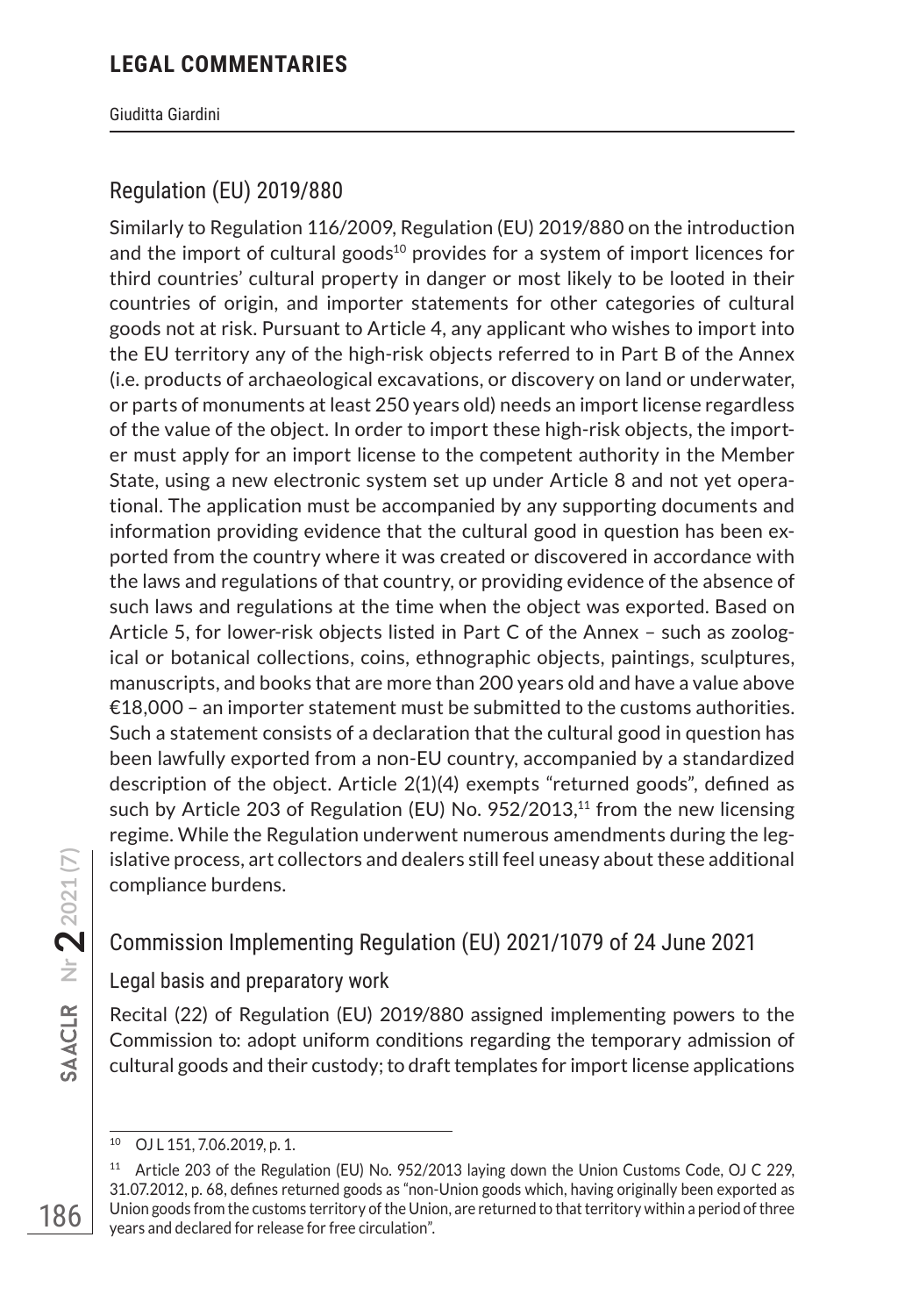Giuditta Giardini

# Regulation (EU) 2019/880

Similarly to Regulation 116/2009, Regulation (EU) 2019/880 on the introduction and the import of cultural goods $10$  provides for a system of import licences for third countries' cultural property in danger or most likely to be looted in their countries of origin, and importer statements for other categories of cultural goods not at risk. Pursuant to Article 4, any applicant who wishes to import into the EU territory any of the high-risk objects referred to in Part B of the Annex (i.e. products of archaeological excavations, or discovery on land or underwater, or parts of monuments at least 250 years old) needs an import license regardless of the value of the object. In order to import these high-risk objects, the importer must apply for an import license to the competent authority in the Member State, using a new electronic system set up under Article 8 and not yet operational. The application must be accompanied by any supporting documents and information providing evidence that the cultural good in question has been exported from the country where it was created or discovered in accordance with the laws and regulations of that country, or providing evidence of the absence of such laws and regulations at the time when the object was exported. Based on Article 5, for lower-risk objects listed in Part C of the Annex – such as zoological or botanical collections, coins, ethnographic objects, paintings, sculptures, manuscripts, and books that are more than 200 years old and have a value above  $€18,000$  – an importer statement must be submitted to the customs authorities. Such a statement consists of a declaration that the cultural good in question has been lawfully exported from a non-EU country, accompanied by a standardized description of the object. Article 2(1)(4) exempts "returned goods", defined as such by Article 203 of Regulation (EU) No.  $952/2013$ ,<sup>11</sup> from the new licensing regime. While the Regulation underwent numerous amendments during the legislative process, art collectors and dealers still feel uneasy about these additional compliance burdens.

# Commission Implementing Regulation (EU) 2021/1079 of 24 June 2021

#### Legal basis and preparatory work

Recital (22) of Regulation (EU) 2019/880 assigned implementing powers to the Commission to: adopt uniform conditions regarding the temporary admission of cultural goods and their custody; to draft templates for import license applications

<sup>10</sup> OJ L 151, 7.06.2019, p. 1.

<sup>&</sup>lt;sup>11</sup> Article 203 of the Regulation (EU) No. 952/2013 laying down the Union Customs Code, OJ C 229, 31.07.2012, p. 68, defines returned goods as "non-Union goods which, having originally been exported as Union goods from the customs territory of the Union, are returned to that territory within a period of three years and declared for release for free circulation".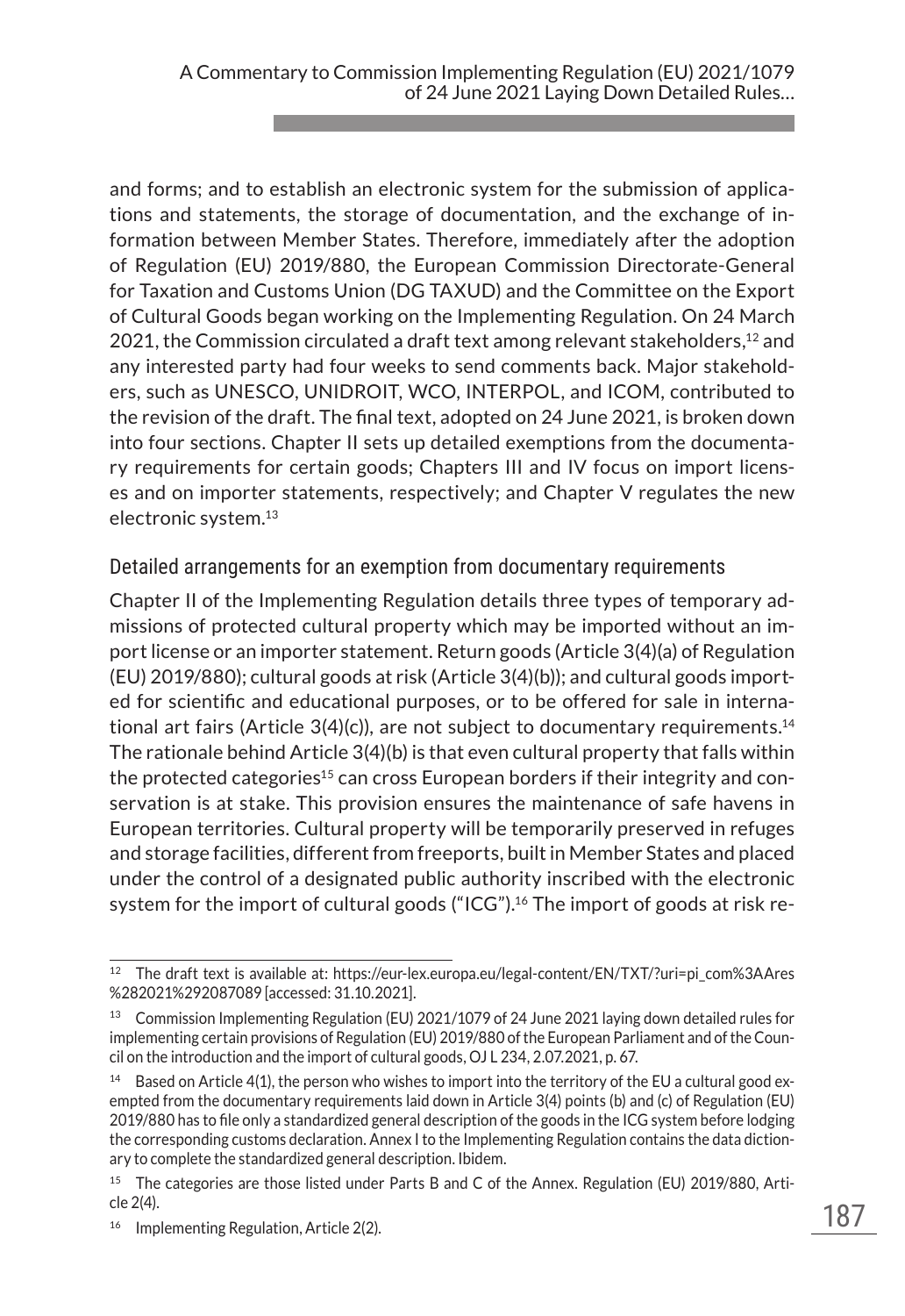and forms; and to establish an electronic system for the submission of applications and statements, the storage of documentation, and the exchange of information between Member States. Therefore, immediately after the adoption of Regulation (EU) 2019/880, the European Commission Directorate-General for Taxation and Customs Union (DG TAXUD) and the Committee on the Export of Cultural Goods began working on the Implementing Regulation. On 24 March 2021, the Commission circulated a draft text among relevant stakeholders,  $12$  and any interested party had four weeks to send comments back. Major stakeholders, such as UNESCO, UNIDROIT, WCO, INTERPOL, and ICOM, contributed to the revision of the draft. The final text, adopted on 24 June 2021, is broken down into four sections. Chapter II sets up detailed exemptions from the documentary requirements for certain goods; Chapters III and IV focus on import licenses and on importer statements, respectively; and Chapter V regulates the new electronic system.13

#### Detailed arrangements for an exemption from documentary requirements

Chapter II of the Implementing Regulation details three types of temporary admissions of protected cultural property which may be imported without an import license or an importer statement. Return goods (Article 3(4)(a) of Regulation (EU) 2019/880); cultural goods at risk (Article 3(4)(b)); and cultural goods imported for scientific and educational purposes, or to be offered for sale in international art fairs (Article  $3(4)(c)$ ), are not subject to documentary requirements.<sup>14</sup> The rationale behind Article 3(4)(b) is that even cultural property that falls within the protected categories<sup>15</sup> can cross European borders if their integrity and conservation is at stake. This provision ensures the maintenance of safe havens in European territories. Cultural property will be temporarily preserved in refuges and storage facilities, different from freeports, built in Member States and placed under the control of a designated public authority inscribed with the electronic system for the import of cultural goods ("ICG").<sup>16</sup> The import of goods at risk re-

<sup>12</sup> The draft text is available at: https://eur-lex.europa.eu/legal-content/EN/TXT/?uri=pi\_com%3AAres %282021%292087089 [accessed: 31.10.2021].

<sup>&</sup>lt;sup>13</sup> Commission Implementing Regulation (EU) 2021/1079 of 24 June 2021 laying down detailed rules for implementing certain provisions of Regulation (EU) 2019/880 of the European Parliament and of the Council on the introduction and the import of cultural goods, OJ L 234, 2.07.2021, p. 67.

 $14$  Based on Article 4(1), the person who wishes to import into the territory of the EU a cultural good exempted from the documentary requirements laid down in Article 3(4) points (b) and (c) of Regulation (EU) 2019/880 has to file only a standardized general description of the goods in the ICG system before lodging the corresponding customs declaration. Annex I to the Implementing Regulation contains the data dictionary to complete the standardized general description. Ibidem.

<sup>&</sup>lt;sup>15</sup> The categories are those listed under Parts B and C of the Annex. Regulation (EU) 2019/880, Article 2(4).

Implementing Regulation, Article 2(2).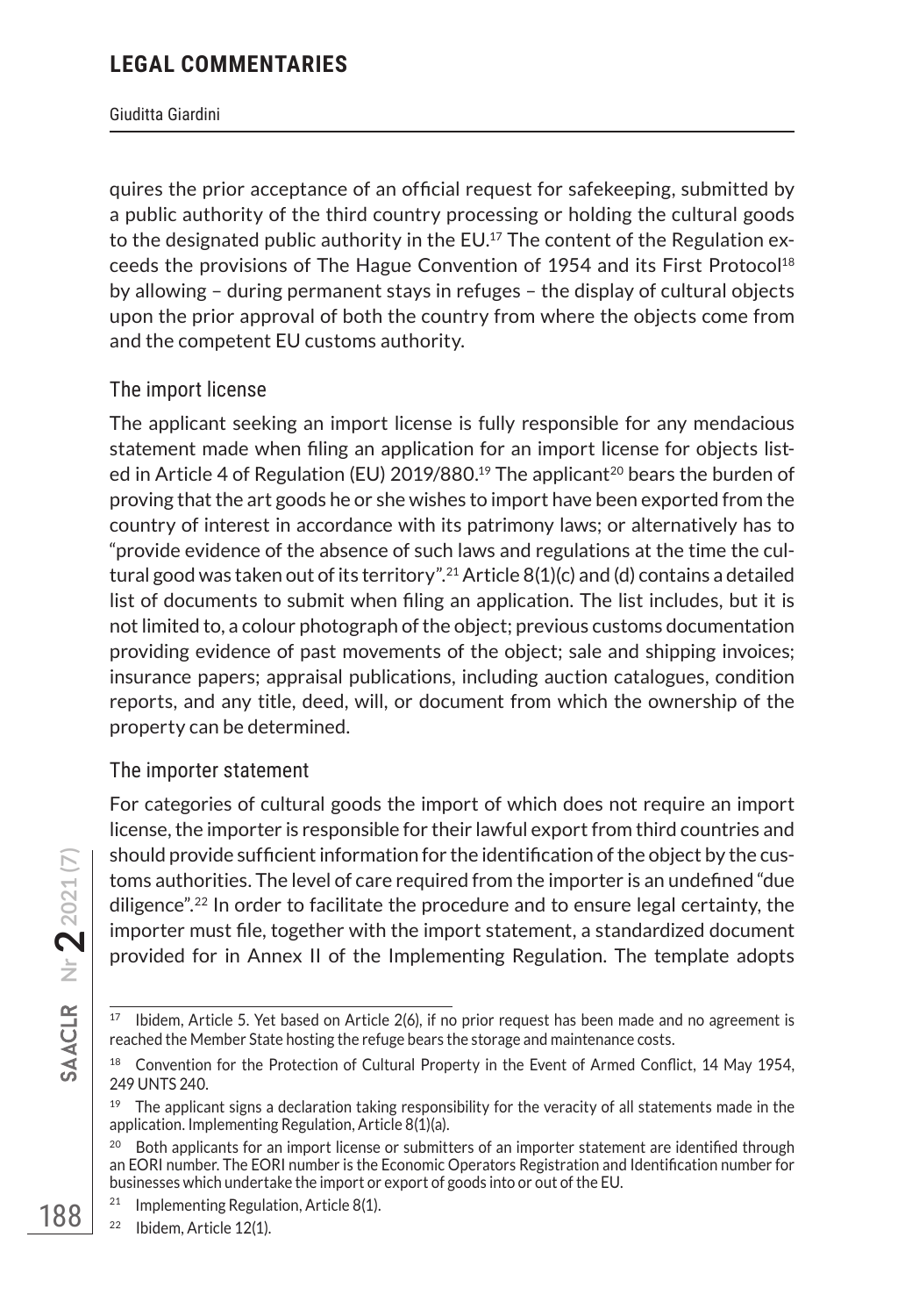#### Giuditta Giardini

quires the prior acceptance of an official request for safekeeping, submitted by a public authority of the third country processing or holding the cultural goods to the designated public authority in the  $EU^{17}$  The content of the Regulation exceeds the provisions of The Hague Convention of 1954 and its First Protocol<sup>18</sup> by allowing – during permanent stays in refuges – the display of cultural objects upon the prior approval of both the country from where the objects come from and the competent EU customs authority.

#### The import license

The applicant seeking an import license is fully responsible for any mendacious statement made when filing an application for an import license for objects listed in Article 4 of Regulation (EU) 2019/880.<sup>19</sup> The applicant<sup>20</sup> bears the burden of proving that the art goods he or she wishes to import have been exported from the country of interest in accordance with its patrimony laws; or alternatively has to "provide evidence of the absence of such laws and regulations at the time the cultural good was taken out of its territory".<sup>21</sup> Article  $8(1)(c)$  and (d) contains a detailed list of documents to submit when filing an application. The list includes, but it is not limited to, a colour photograph of the object; previous customs documentation providing evidence of past movements of the object; sale and shipping invoices; insurance papers; appraisal publications, including auction catalogues, condition reports, and any title, deed, will, or document from which the ownership of the property can be determined.

#### The importer statement

For categories of cultural goods the import of which does not require an import license, the importer is responsible for their lawful export from third countries and should provide sufficient information for the identification of the object by the customs authorities. The level of care required from the importer is an undefined "due diligence".22 In order to facilitate the procedure and to ensure legal certainty, the importer must file, together with the import statement, a standardized document provided for in Annex II of the Implementing Regulation. The template adopts

 $17$  Ibidem, Article 5. Yet based on Article 2(6), if no prior request has been made and no agreement is reached the Member State hosting the refuge bears the storage and maintenance costs.

<sup>&</sup>lt;sup>18</sup> Convention for the Protection of Cultural Property in the Event of Armed Conflict, 14 May 1954, 249 UNTS 240.

 $19$  The applicant signs a declaration taking responsibility for the veracity of all statements made in the application. Implementing Regulation, Article 8(1)(a).

<sup>&</sup>lt;sup>20</sup> Both applicants for an import license or submitters of an importer statement are identified through an EORI number. The EORI number is the Economic Operators Registration and Identification number for businesses which undertake the import or export of goods into or out of the EU.

<sup>&</sup>lt;sup>21</sup> Implementing Regulation, Article 8(1).

<sup>22</sup> Ibidem, Article 12(1).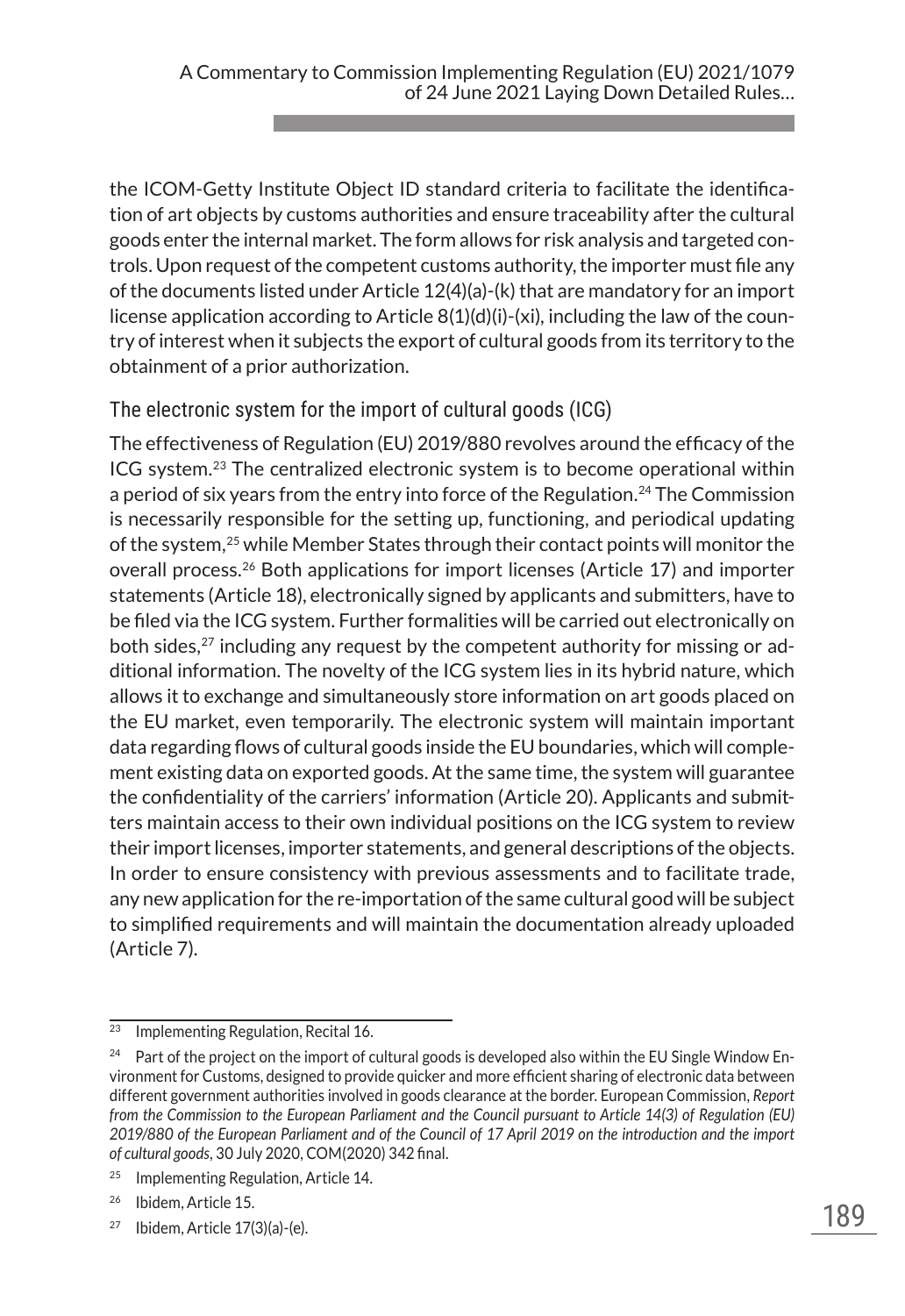the ICOM-Getty Institute Object ID standard criteria to facilitate the identification of art objects by customs authorities and ensure traceability after the cultural goods enter the internal market. The form allows for risk analysis and targeted controls. Upon request of the competent customs authority, the importer must file any of the documents listed under Article 12(4)(a)-(k) that are mandatory for an import license application according to Article  $8(1)(d)(i)-(x_i)$ , including the law of the country of interest when it subjects the export of cultural goods from its territory to the obtainment of a prior authorization.

#### The electronic system for the import of cultural goods (ICG)

The effectiveness of Regulation (EU) 2019/880 revolves around the efficacy of the ICG system.23 The centralized electronic system is to become operational within a period of six years from the entry into force of the Regulation.<sup>24</sup> The Commission is necessarily responsible for the setting up, functioning, and periodical updating of the system,<sup>25</sup> while Member States through their contact points will monitor the overall process.26 Both applications for import licenses (Article 17) and importer statements (Article 18), electronically signed by applicants and submitters, have to be filed via the ICG system. Further formalities will be carried out electronically on both sides, $27$  including any request by the competent authority for missing or additional information. The novelty of the ICG system lies in its hybrid nature, which allows it to exchange and simultaneously store information on art goods placed on the EU market, even temporarily. The electronic system will maintain important data regarding flows of cultural goods inside the EU boundaries, which will complement existing data on exported goods. At the same time, the system will guarantee the confidentiality of the carriers' information (Article 20). Applicants and submitters maintain access to their own individual positions on the ICG system to review their import licenses, importer statements, and general descriptions of the objects. In order to ensure consistency with previous assessments and to facilitate trade, any new application for the re-importation of the same cultural good will be subject to simplified requirements and will maintain the documentation already uploaded (Article 7).

 $23$  Implementing Regulation, Recital 16.

<sup>&</sup>lt;sup>24</sup> Part of the project on the import of cultural goods is developed also within the EU Single Window Environment for Customs, designed to provide quicker and more efficient sharing of electronic data between different government authorities involved in goods clearance at the border. European Commission, *Report from the Commission to the European Parliament and the Council pursuant to Article 14(3) of Regulation (EU) 2019/880 of the European Parliament and of the Council of 17 April 2019 on the introduction and the import of cultural goods*, 30 July 2020, COM(2020) 342 final.

<sup>25</sup> Implementing Regulation, Article 14.

<sup>26</sup> Ibidem, Article 15.

 $27$  Ibidem, Article  $17(3)(a)-(e)$ .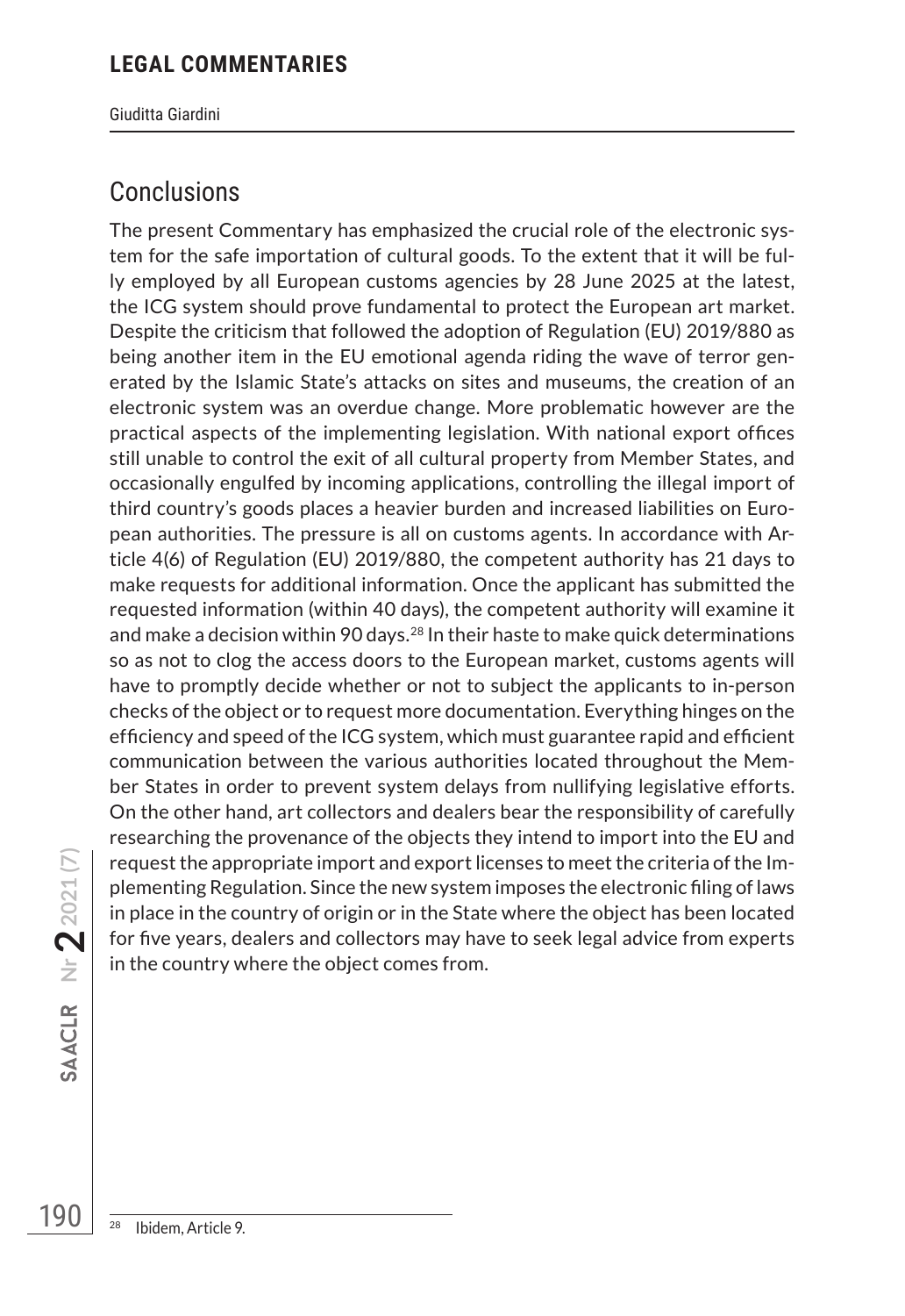Giuditta Giardini

# **Conclusions**

The present Commentary has emphasized the crucial role of the electronic system for the safe importation of cultural goods. To the extent that it will be fully employed by all European customs agencies by 28 June 2025 at the latest, the ICG system should prove fundamental to protect the European art market. Despite the criticism that followed the adoption of Regulation (EU) 2019/880 as being another item in the EU emotional agenda riding the wave of terror generated by the Islamic State's attacks on sites and museums, the creation of an electronic system was an overdue change. More problematic however are the practical aspects of the implementing legislation. With national export offices still unable to control the exit of all cultural property from Member States, and occasionally engulfed by incoming applications, controlling the illegal import of third country's goods places a heavier burden and increased liabilities on European authorities. The pressure is all on customs agents. In accordance with Article 4(6) of Regulation (EU) 2019/880, the competent authority has 21 days to make requests for additional information. Once the applicant has submitted the requested information (within 40 days), the competent authority will examine it and make a decision within 90 days.28 In their haste to make quick determinations so as not to clog the access doors to the European market, customs agents will have to promptly decide whether or not to subject the applicants to in-person checks of the object or to request more documentation. Everything hinges on the efficiency and speed of the ICG system, which must guarantee rapid and efficient communication between the various authorities located throughout the Member States in order to prevent system delays from nullifying legislative efforts. On the other hand, art collectors and dealers bear the responsibility of carefully researching the provenance of the objects they intend to import into the EU and request the appropriate import and export licenses to meet the criteria of the Implementing Regulation. Since the new system imposes the electronic filing of laws in place in the country of origin or in the State where the object has been located for five years, dealers and collectors may have to seek legal advice from experts in the country where the object comes from.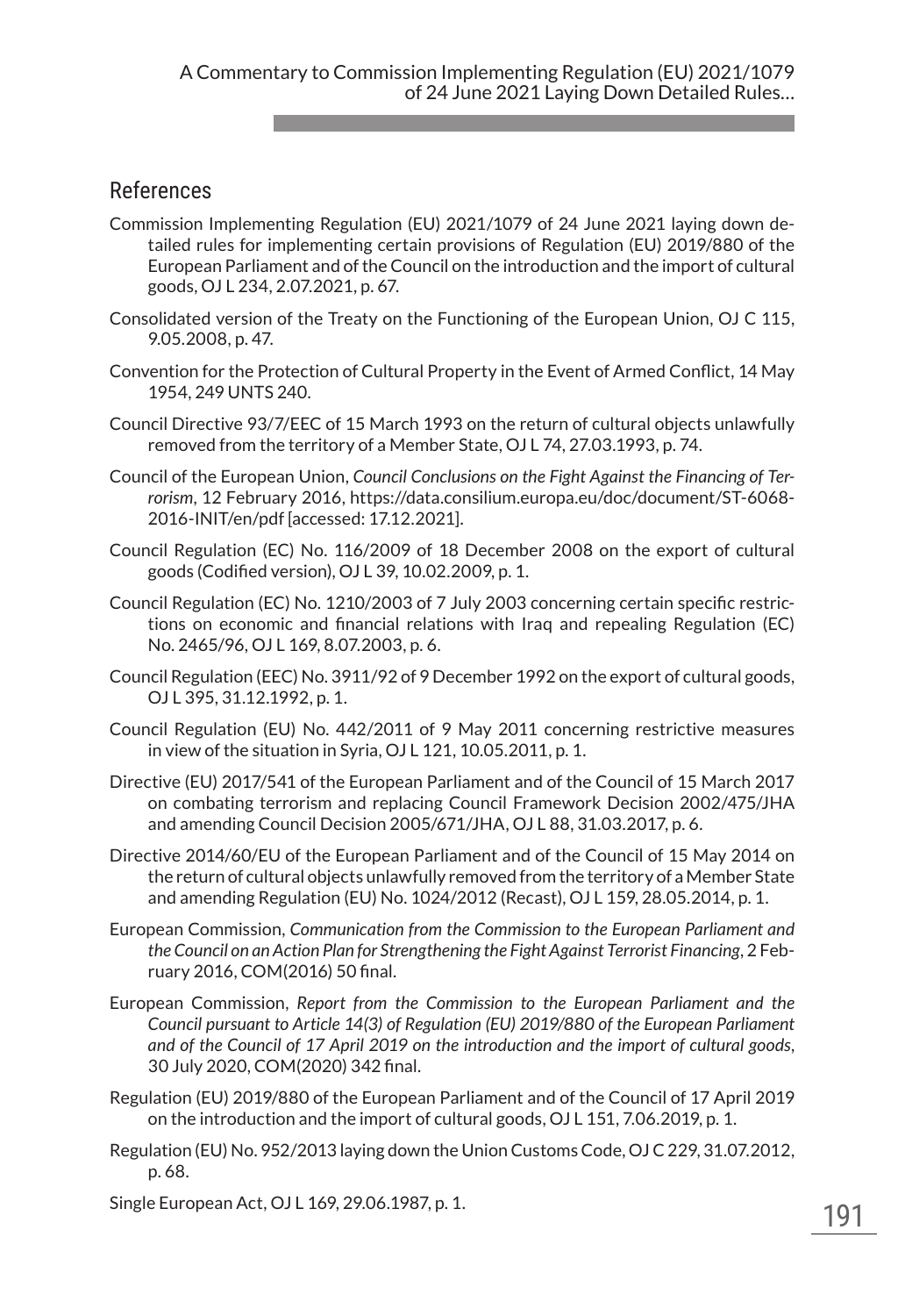#### References

- Commission Implementing Regulation (EU) 2021/1079 of 24 June 2021 laying down detailed rules for implementing certain provisions of Regulation (EU) 2019/880 of the European Parliament and of the Council on the introduction and the import of cultural goods, OJ L 234, 2.07.2021, p. 67.
- Consolidated version of the Treaty on the Functioning of the European Union, OJ C 115, 9.05.2008, p. 47.
- Convention for the Protection of Cultural Property in the Event of Armed Conflict, 14 May 1954, 249 UNTS 240.
- Council Directive 93/7/EEC of 15 March 1993 on the return of cultural objects unlawfully removed from the territory of a Member State, OJ L 74, 27.03.1993, p. 74.
- Council of the European Union, *Council Conclusions on the Fight Against the Financing of Terrorism*, 12 February 2016, https://data.consilium.europa.eu/doc/document/ST-6068- 2016-INIT/en/pdf [accessed: 17.12.2021].
- Council Regulation (EC) No. 116/2009 of 18 December 2008 on the export of cultural goods (Codified version), OJ L 39, 10.02.2009, p. 1.
- Council Regulation (EC) No. 1210/2003 of 7 July 2003 concerning certain specific restrictions on economic and financial relations with Iraq and repealing Regulation (EC) No. 2465/96, OJ L 169, 8.07.2003, p. 6.
- Council Regulation (EEC) No. 3911/92 of 9 December 1992 on the export of cultural goods, OJ L 395, 31.12.1992, p. 1.
- Council Regulation (EU) No. 442/2011 of 9 May 2011 concerning restrictive measures in view of the situation in Syria, OJ L 121, 10.05.2011, p. 1.
- Directive (EU) 2017/541 of the European Parliament and of the Council of 15 March 2017 on combating terrorism and replacing Council Framework Decision 2002/475/JHA and amending Council Decision 2005/671/JHA, OJ L 88, 31.03.2017, p. 6.
- Directive 2014/60/EU of the European Parliament and of the Council of 15 May 2014 on the return of cultural objects unlawfully removed from the territory of a Member State and amending Regulation (EU) No. 1024/2012 (Recast), OJ L 159, 28.05.2014, p. 1.
- European Commission, *Communication from the Commission to the European Parliament and the Council on an Action Plan for Strengthening the Fight Against Terrorist Financing*, 2 February 2016, COM(2016) 50 final.
- European Commission, *Report from the Commission to the European Parliament and the Council pursuant to Article 14(3) of Regulation (EU) 2019/880 of the European Parliament and of the Council of 17 April 2019 on the introduction and the import of cultural goods*, 30 July 2020, COM(2020) 342 final.
- Regulation (EU) 2019/880 of the European Parliament and of the Council of 17 April 2019 on the introduction and the import of cultural goods, OJ L 151, 7.06.2019, p. 1.
- Regulation (EU) No. 952/2013 laying down the Union Customs Code, OJ C 229, 31.07.2012, p. 68.

Single European Act, OJ L 169, 29.06.1987, p. 1.